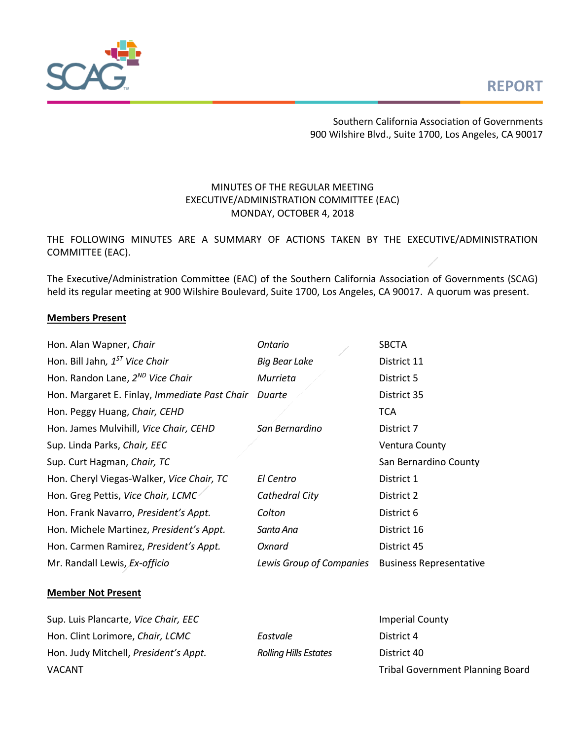# **REPORT**



Southern California Association of Governments 900 Wilshire Blvd., Suite 1700, Los Angeles, CA 90017

# MINUTES OF THE REGULAR MEETING EXECUTIVE/ADMINISTRATION COMMITTEE (EAC) MONDAY, OCTOBER 4, 2018

THE FOLLOWING MINUTES ARE A SUMMARY OF ACTIONS TAKEN BY THE EXECUTIVE/ADMINISTRATION COMMITTEE (EAC).

The Executive/Administration Committee (EAC) of the Southern California Association of Governments (SCAG) held its regular meeting at 900 Wilshire Boulevard, Suite 1700, Los Angeles, CA 90017. A quorum was present.

#### **Members Present**

| Hon. Alan Wapner, Chair                       | Ontario                  | <b>SBCTA</b>                   |
|-----------------------------------------------|--------------------------|--------------------------------|
| Hon. Bill Jahn, $1^{57}$ Vice Chair           | <b>Big Bear Lake</b>     | District 11                    |
| Hon. Randon Lane, 2 <sup>ND</sup> Vice Chair  | Murrieta                 | District 5                     |
| Hon. Margaret E. Finlay, Immediate Past Chair | Duarte                   | District 35                    |
| Hon. Peggy Huang, Chair, CEHD                 |                          | <b>TCA</b>                     |
| Hon. James Mulvihill, Vice Chair, CEHD        | San Bernardino           | District 7                     |
| Sup. Linda Parks, Chair, EEC                  |                          | Ventura County                 |
| Sup. Curt Hagman, Chair, TC                   |                          | San Bernardino County          |
| Hon. Cheryl Viegas-Walker, Vice Chair, TC     | El Centro                | District 1                     |
| Hon. Greg Pettis, Vice Chair, LCMC            | Cathedral City           | District 2                     |
| Hon. Frank Navarro, President's Appt.         | Colton                   | District 6                     |
| Hon. Michele Martinez, President's Appt.      | Santa Ana                | District 16                    |
| Hon. Carmen Ramirez, President's Appt.        | Oxnard                   | District 45                    |
| Mr. Randall Lewis, Ex-officio                 | Lewis Group of Companies | <b>Business Representative</b> |

#### **Member Not Present**

| Sup. Luis Plancarte, Vice Chair, EEC  | <b>Imperial County</b>       |                                         |
|---------------------------------------|------------------------------|-----------------------------------------|
| Hon. Clint Lorimore, Chair, LCMC      | Eastvale                     | District 4                              |
| Hon. Judy Mitchell, President's Appt. | <b>Rolling Hills Estates</b> | District 40                             |
| <b>VACANT</b>                         |                              | <b>Tribal Government Planning Board</b> |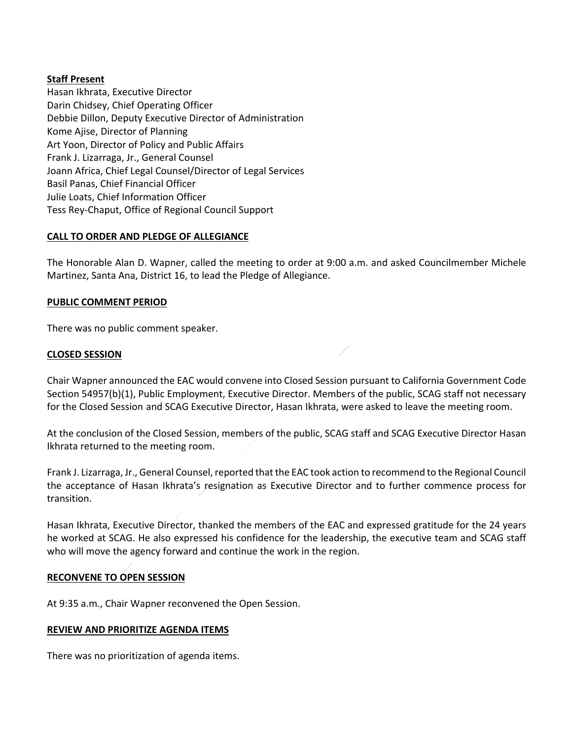# **Staff Present**

Hasan Ikhrata, Executive Director Darin Chidsey, Chief Operating Officer Debbie Dillon, Deputy Executive Director of Administration Kome Ajise, Director of Planning Art Yoon, Director of Policy and Public Affairs Frank J. Lizarraga, Jr., General Counsel Joann Africa, Chief Legal Counsel/Director of Legal Services Basil Panas, Chief Financial Officer Julie Loats, Chief Information Officer Tess Rey‐Chaput, Office of Regional Council Support

# **CALL TO ORDER AND PLEDGE OF ALLEGIANCE**

The Honorable Alan D. Wapner, called the meeting to order at 9:00 a.m. and asked Councilmember Michele Martinez, Santa Ana, District 16, to lead the Pledge of Allegiance.

## **PUBLIC COMMENT PERIOD**

There was no public comment speaker.

## **CLOSED SESSION**

Chair Wapner announced the EAC would convene into Closed Session pursuant to California Government Code Section 54957(b)(1), Public Employment, Executive Director. Members of the public, SCAG staff not necessary for the Closed Session and SCAG Executive Director, Hasan Ikhrata, were asked to leave the meeting room.

At the conclusion of the Closed Session, members of the public, SCAG staff and SCAG Executive Director Hasan Ikhrata returned to the meeting room.

Frank J. Lizarraga, Jr., General Counsel, reported that the EAC took action to recommend to the Regional Council the acceptance of Hasan Ikhrata's resignation as Executive Director and to further commence process for transition.

Hasan Ikhrata, Executive Director, thanked the members of the EAC and expressed gratitude for the 24 years he worked at SCAG. He also expressed his confidence for the leadership, the executive team and SCAG staff who will move the agency forward and continue the work in the region.

# **RECONVENE TO OPEN SESSION**

At 9:35 a.m., Chair Wapner reconvened the Open Session.

#### **REVIEW AND PRIORITIZE AGENDA ITEMS**

There was no prioritization of agenda items.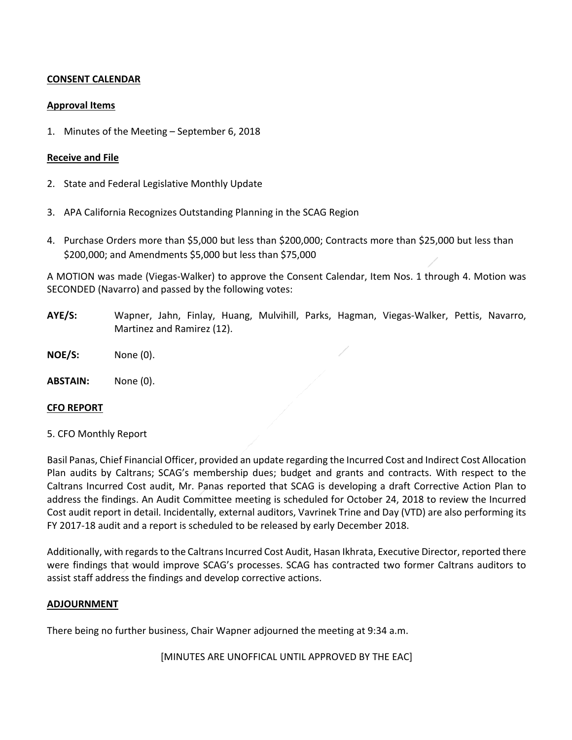## **CONSENT CALENDAR**

## **Approval Items**

1. Minutes of the Meeting – September 6, 2018

#### **Receive and File**

- 2. State and Federal Legislative Monthly Update
- 3. APA California Recognizes Outstanding Planning in the SCAG Region
- 4. Purchase Orders more than \$5,000 but less than \$200,000; Contracts more than \$25,000 but less than \$200,000; and Amendments \$5,000 but less than \$75,000

A MOTION was made (Viegas‐Walker) to approve the Consent Calendar, Item Nos. 1 through 4. Motion was SECONDED (Navarro) and passed by the following votes:

- **AYE/S:** Wapner, Jahn, Finlay, Huang, Mulvihill, Parks, Hagman, Viegas‐Walker, Pettis, Navarro, Martinez and Ramirez (12).
- **NOE/S:**  None (0).
- **ABSTAIN:** None (0).

#### **CFO REPORT**

#### 5. CFO Monthly Report

Basil Panas, Chief Financial Officer, provided an update regarding the Incurred Cost and Indirect Cost Allocation Plan audits by Caltrans; SCAG's membership dues; budget and grants and contracts. With respect to the Caltrans Incurred Cost audit, Mr. Panas reported that SCAG is developing a draft Corrective Action Plan to address the findings. An Audit Committee meeting is scheduled for October 24, 2018 to review the Incurred Cost audit report in detail. Incidentally, external auditors, Vavrinek Trine and Day (VTD) are also performing its FY 2017‐18 audit and a report is scheduled to be released by early December 2018.

Additionally, with regards to the Caltrans Incurred Cost Audit, Hasan Ikhrata, Executive Director, reported there were findings that would improve SCAG's processes. SCAG has contracted two former Caltrans auditors to assist staff address the findings and develop corrective actions.

#### **ADJOURNMENT**

There being no further business, Chair Wapner adjourned the meeting at 9:34 a.m.

[MINUTES ARE UNOFFICAL UNTIL APPROVED BY THE EAC]